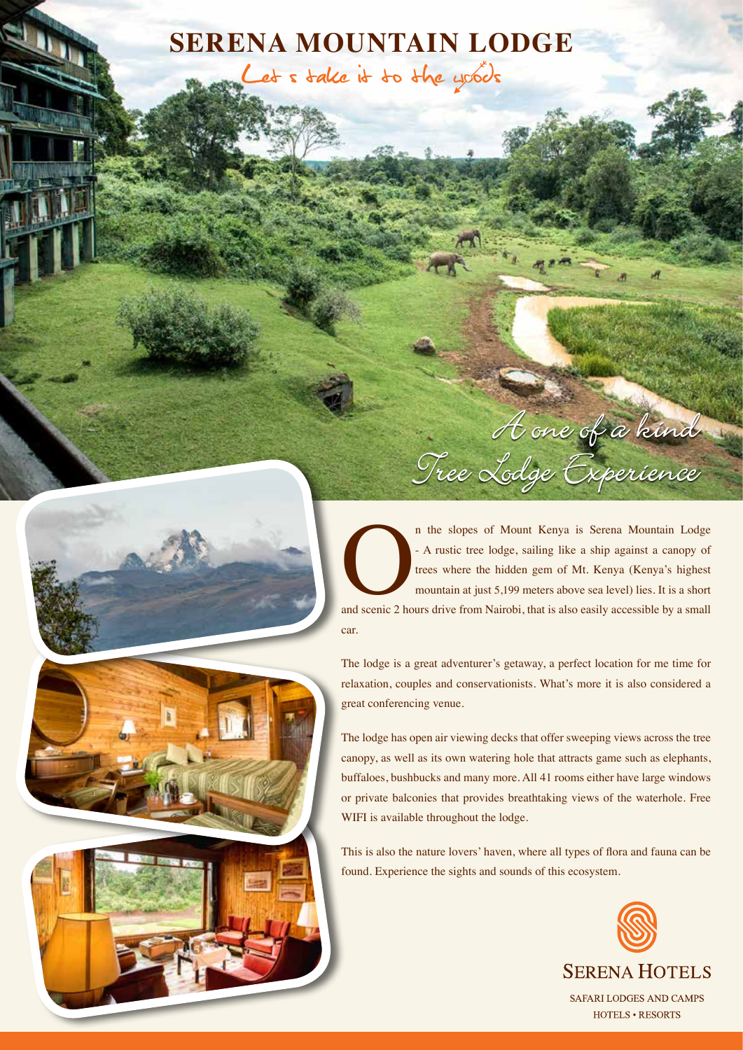# **SERENA MOUNTAIN LODGE**

Let s take it to the yoods





A one of a kind

The lodge is a great adventurer's getaway, a perfect location for me time for relaxation, couples and conservationists. What's more it is also considered a great conferencing venue.

The lodge has open air viewing decks that offer sweeping views across the tree canopy, as well as its own watering hole that attracts game such as elephants, buffaloes, bushbucks and many more. All 41 rooms either have large windows or private balconies that provides breathtaking views of the waterhole. Free WIFI is available throughout the lodge.

This is also the nature lovers' haven, where all types of flora and fauna can be found. Experience the sights and sounds of this ecosystem.

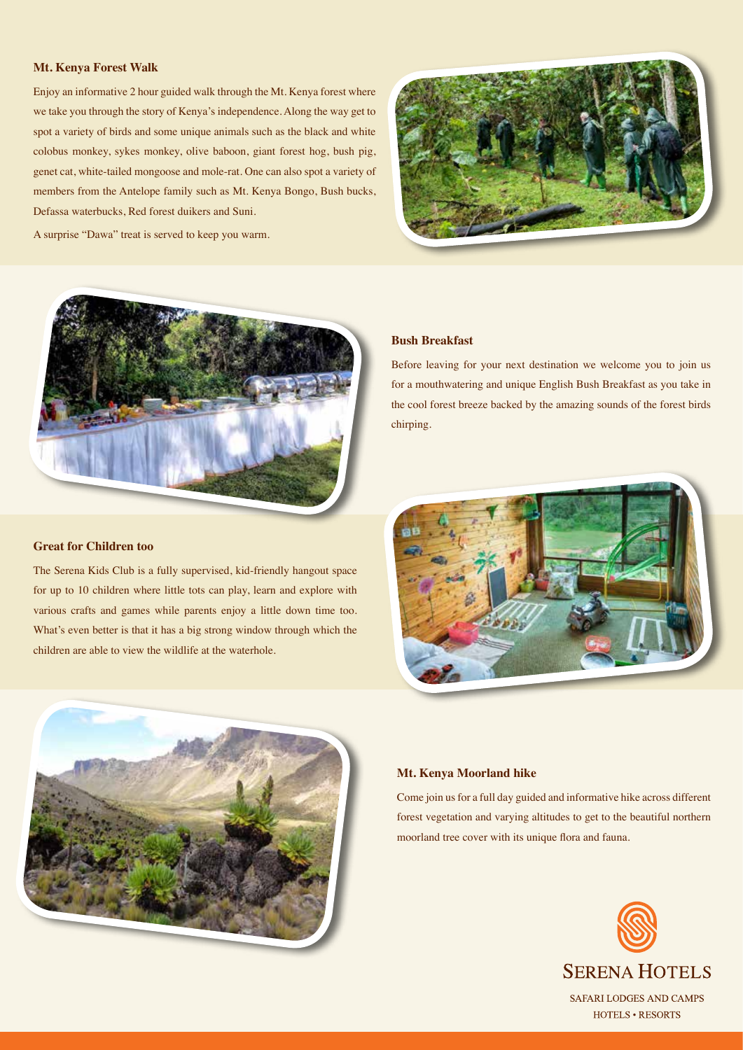#### **Mt. Kenya Forest Walk**

Enjoy an informative 2 hour guided walk through the Mt. Kenya forest where we take you through the story of Kenya's independence. Along the way get to spot a variety of birds and some unique animals such as the black and white colobus monkey, sykes monkey, olive baboon, giant forest hog, bush pig, genet cat, white-tailed mongoose and mole-rat. One can also spot a variety of members from the Antelope family such as Mt. Kenya Bongo, Bush bucks, Defassa waterbucks, Red forest duikers and Suni.

A surprise "Dawa" treat is served to keep you warm.





### **Great for Children too**

The Serena Kids Club is a fully supervised, kid-friendly hangout space for up to 10 children where little tots can play, learn and explore with various crafts and games while parents enjoy a little down time too. What's even better is that it has a big strong window through which the children are able to view the wildlife at the waterhole.

### **Bush Breakfast**

Before leaving for your next destination we welcome you to join us for a mouthwatering and unique English Bush Breakfast as you take in the cool forest breeze backed by the amazing sounds of the forest birds chirping.





#### **Mt. Kenya Moorland hike**

Come join us for a full day guided and informative hike across different forest vegetation and varying altitudes to get to the beautiful northern moorland tree cover with its unique flora and fauna.